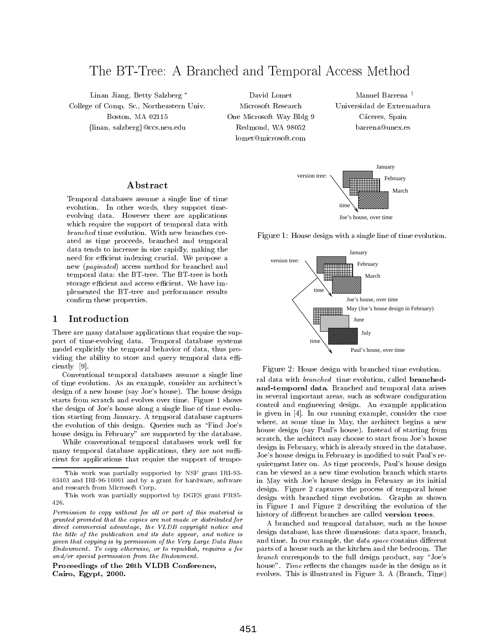# The BT-Tree: A Branched and Temporal Access Method

Linan Jiang, Betty Salzberg College of Comp. Sc., Northeastern Univ. Boston, MA 02115 {linan, salzberg}@ccs.neu.edu

David Lomet Microsoft Research One Microsoft Way Bldg 9 Redmond, WA 98052 lomet@microsoft.com

Manuel Barrena † Universidad de Extremadura Cáceres, Spain barrena@unex.es



Temporal databases assume a single line of time evolution. In other words, they support time evolving data. However there are applications which require the support of temporal data with branched time evolution. With new branches created as time proceeds, branched and temporal data tends to increase in size rapidly, making the need for efficient indexing crucial. We propose a new (paginated) access method for branched and temporal data: the BT-tree. The BT-tree is both storage efficient and access efficient. We have implemented the BT-tree and performance results confirm these properties.

# 1 Introduction

There are many database applications that require the support of time-evolving data. Temporal database systems model explicitly the temporal behavior of data, thus providing the ability to store and query temporal data efficiently [9].

Conventional temporal databases assume a single line of time evolution. As an example, consider an architect's design of a new house (say Joe's house). The house design starts from scratch and evolves over time. Figure 1 shows the design of Joe's house along a single line of time evolution starting from January. A temporal database captures the evolution of this design. Queries such as \Find Joe's house design in February" are supported by the database.

While conventional temporal databases work well for many temporal database applications, they are not sufficient for applications that require the support of tempo-

Proceedings of the 26th VLDB Conference, Cairo, Egypt, 2000.



Figure 1: House design with a single line of time evolution.



Figure 2: House design with branched time evolution. ral data with branched time evolution, called branchedand-temporal data. Branched and temporal data arises in several important areas, such as software configuration control and engineering design. An example application is given in [4]. In our running example, consider the case where, at some time in May, the architect begins a new house design (say Paul's house). Instead of starting from scratch, the architect may choose to start from Joe's house design in February, which is already stored in the database. Joe's house design in February is modied to suit Paul's requirement later on. As time proceeds, Paul's house design can be viewed as a new time evolution branch which starts in May with Joe's house design in February as its initial design. Figure 2 captures the process of temporal house design with branched time evolution. Graphs as shown in Figure 1 and Figure 2 describing the evolution of the history of different branches are called version trees.

A branched and temporal database, such as the house design database, has three dimensions: data space, branch, and time. In our example, the *data space* contains different parts of a house such as the kitchen and the bedroom. The  $branch$  corresponds to the full design product, say "Joe's house". Time reflects the changes made in the design as it evolves. This is illustrated in Figure 3. A (Branch, Time)

This work was partially supported by NSF grant IRI-93- 03403 and IRI-96-10001 and by a grant for hardware, software and research from Microsoft Corp.

This work was partially supported by DGES grant PR95-426.

 $Permission$  to copy without fee all or part of this material is  $\qquad \qquad$ granted provided that the copies are not made or distributed fordirect commercial advantage, the VLDB copyright notice and the title of the publication and its date appear, and notice is given that copying is by permission of the Very Large Data BaseEndowment. To copy otherwise, or to republish, requires a fee and/or special permission from the Endowment.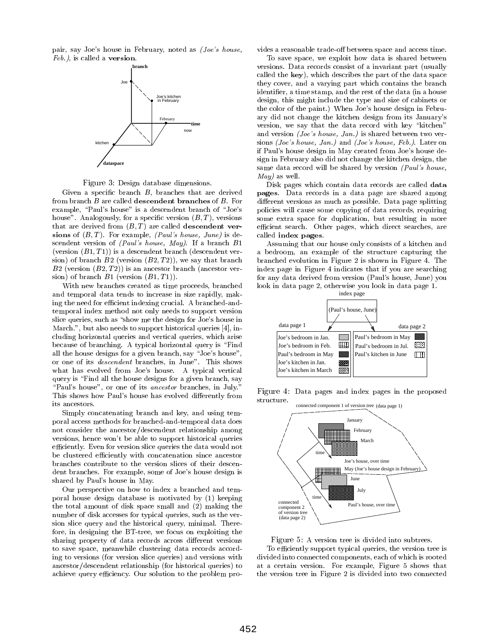pair, say Joe's house in February, noted as (Joe's house, Feb.), is called a version.



Figure 3: Design database dimensions.

Given a specific branch  $B$ , branches that are derived from branch B are called descendent branches of B. For example, "Paul's house" is a descendent branch of "Joe's house". Analogously, for a specific version  $(B, T)$ , versions that are derived from  $(B, T)$  are called descendent versions of  $(B, T)$ . For example, *(Paul's house, June)* is descendent version of (Paul's house, May). If a branch B1 (version  $(B1, T1)$ ) is a descendent branch (descendent version) of branch  $B2$  (version  $(B2, T2)$ ), we say that branch  $B2$  (version  $(B2, T2)$ ) is an ancestor branch (ancestor version) of branch  $B1$  (version  $(B1, T1)$ ).

With new branches created as time proceeds, branched and temporal data tends to increase in size rapidly, making the need for efficient indexing crucial. A branched-andtemporal index method not only needs to support version slice queries, such as "show me the design for Joe's house in March.", but also needs to support historical queries [4], including horizontal queries and vertical queries, which arise because of branching. A typical horizontal query is \Find all the house designs for a given branch, say "Joe's house", or one of its descendent branches, in June". This shows what has evolved from Joe's house. A typical vertical query is "Find all the house designs for a given branch, say "Paul's house", or one of its *ancestor* branches, in July." This shows how Paul's house has evolved differently from its ancestors.

Simply concatenating branch and key, and using temporal access methods for branched-and-temporal data does not consider the ancestor/descendent relationship among versions, hence won't be able to support historical queries efficiently. Even for version slice queries the data would not be clustered efficiently with concatenation since ancestor branches contribute to the version slices of their descendent branches. For example, some of Joe's house design is shared by Paul's house in May.

Our perspective on how to index a branched and temporal house design database is motivated by (1) keeping the total amount of disk space small and (2) making the number of disk accesses for typical queries, such as the ver sion slice query and the historical query, minimal. Therefore, in designing the BT-tree, we focus on exploiting the sharing property of data records across different versions to save space, meanwhile clustering data records according to versions (for version slice queries) and versions with ancestor/descendent relationship (for historical queries) to achieve query efficiency. Our solution to the problem provides a reasonable trade-off between space and access time.

To save space, we exploit how data is shared between versions. Data records consist of a invariant part (usually called the key), which describes the part of the data space they cover, and a varying part which contains the branch identifier, a time stamp, and the rest of the data (in a house design, this might include the type and size of cabinets or the color of the paint.) When Joe's house design in February did not change the kitchen design from its January's version, we say that the data record with key "kitchen" and version (Joe's house, Jan.) is shared between two versions (Joe's house, Jan.) and (Joe's house, Feb.). Later on if Paul's house design in May created from Joe's house design in February also did not change the kitchen design, the same data record will be shared by version (Paul's house, May) as well.

Disk pages which contain data records are called data pages. Data records in a data page are shared among different versions as much as possible. Data page splitting policies will cause some copying of data records, requiring some extra space for duplication, but resulting in more efficient search. Other pages, which direct searches, are called index pages.

Assuming that our house only consists of a kitchen and a bedroom, an example of the structure capturing the branched evolution in Figure 2 is shown in Figure 4. The index page in Figure 4 indicates that if you are searching for any data derived from version (Paul's house, June) you look in data page 2, otherwise you look in data page 1.



Figure 4: Data pages and index pages in the proposed structure.



Figure 5: A version tree is divided into subtrees.

To efficiently support typical queries, the version tree is divided into connected components, each of which is rooted at a certain version. For example, Figure 5 shows that the version tree in Figure 2 is divided into two connected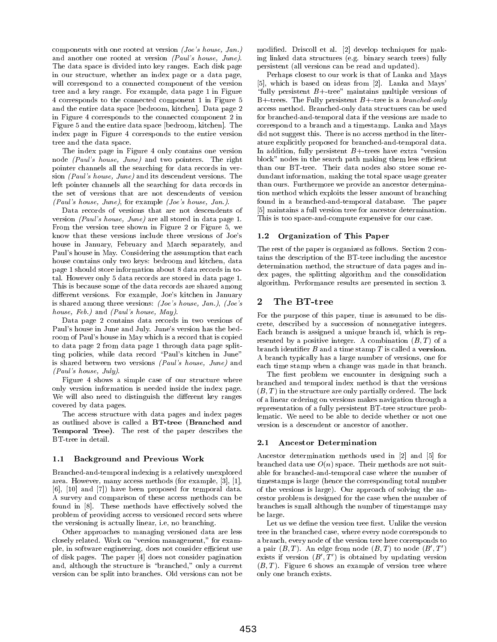components with one rooted at version (Joe's house, Jan.) and another one rooted at version (Paul's house, June). The data space is divided into key ranges. Each disk page in our structure, whether an index page or a data page, will correspond to a connected component of the version tree and a key range. For example, data page 1 in Figure 4 corresponds to the connected component 1 in Figure 5 and the entire data space [bedroom, kitchen]. Data page 2 in Figure 4 corresponds to the connected component 2 in Figure 5 and the entire data space [bedroom, kitchen]. The index page in Figure 4 corresponds to the entire version tree and the data space.

The index page in Figure 4 only contains one version node (Paul's house, June) and two pointers. The right pointer channels all the searching for data records in ver sion (Paul's house, June) and its descendent versions. The left pointer channels all the searching for data records in the set of versions that are not descendents of version (Paul's house, June), for example (Joe's house, Jan.).

Data records of versions that are not descendents of version (Paul's house, June) are all stored in data page 1. From the version tree shown in Figure 2 or Figure 5, we know that these versions include three versions of  $Joe's = 1.2$ house in January, February and March separately, and Paul's house in May. Considering the assumption that each house contains only two keys: bedroom and kitchen, data page 1 should store information about 8 data records in total. However only 5 data records are stored in data page 1. This is because some of the data records are shared among different versions. For example, Joe's kitchen in January<br>is shared among three versions: (Loe's house Jan) (Loe's 2 is shared among three versions: (Joe's house, Jan.), (Joe's house, Feb.) and (Paul's house, May).

Data page 2 contains data records in two versions of Paul's house in June and July. June's version has the bedroom of Paul's house in May which is a record that is copied to data page 2 from data page 1 through data page splitting policies, while data record \Paul's kitchen in June" is shared between two versions (Paul's house, June) and (Paul's house, July).

Figure 4 shows a simple case of our structure where only version information is needed inside the index page. We will also need to distinguish the different key ranges covered by data pages.

The access structure with data pages and index pages as outlined above is called a BT-tree (Branched and Temporal Tree). The rest of the paper describes the BT-tree in detail.

#### 1.1 Background and Previous Work

Branched-and-temporal indexing is a relatively unexplored area. However, many access methods (for example, [3], [1], [6], [10] and [7]) have been proposed for temporal data. A survey and comparison of these access methods can be found in  $[8]$ . These methods have effectively solved the problem of providing access to versioned record sets where the versioning is actually linear, i.e, no branching.

Other approaches to managing versioned data are less closely related. Work on "version management," for example, in software engineering, does not consider efficient use of disk pages. The paper [4] does not consider pagination and, although the structure is "branched," only a current version can be split into branches. Old versions can not be

modied. Driscoll et al. [2] develop techniques for making linked data structures (e.g. binary search trees) fully persistent (all versions can be read and updated).

Perhaps closest to our work is that of Lanka and Mays [5], which is based on ideas from [2]. Lanka and Mays' "fully persistent  $B+$ -tree" maintains multiple versions of B+-trees. The Fully persistent  $B+$ -tree is a *branched-only* access method. Branched-only data structures can be used for branched-and-temporal data if the versions are made to correspond to a branch and a timestamp. Lanka and Mays did not suggest this. There is no access method in the literature explicitly proposed for branched-and-temporal data. In addition, fully persistent  $B+$  trees have extra "version block" nodes in the search path making them less efficient than our BT-tree. Their data nodes also store some re dundant information, making the total space usage greater than ours. Furthermore we provide an ancestor determination method which exploits the lesser amount of branching found in a branched-and-temporal database. The paper [5] maintains a full version tree for ancestor determination. This is too space-and-compute expensive for our case.

#### **Organization of This Paper**

The rest of the paper is organized as follows. Section 2 contains the description of the BT-tree including the ancestor determination method, the structure of data pages and index pages, the splitting algorithm and the consolidation algorithm. Performance results are presented in section 3.

# The BT-tree

For the purpose of this paper, time is assumed to be discrete, described by a succession of nonnegative integers. Each branch is assigned a unique branch id, which is rep resented by a positive integer. A combination  $(B, T)$  of a branch identifier  $B$  and a time stamp  $T$  is called a version. A branch typically has a large number of versions, one for each time stamp when a change was made in that branch.

The first problem we encounter in designing such a branched and temporal index method is that the versions  $(B, T)$  in the structure are only partially ordered. The lack of a linear ordering on versions makes navigation through a representation of a fully persistent BT-tree structure problematic. We need to be able to decide whether or not one version is a descendent or ancestor of another.

#### 2.1 Ancestor Determination

Ancestor determination methods used in [2] and [5] for branched data use  $O(n)$  space. Their methods are not suitable for branched-and-temporal case where the number of timestamps is large (hence the corresponding total number of the versions is large). Our approach of solving the ancestor problem is designed for the case when the number of branches is small although the number of timestamps may be large.

Let us we define the version tree first. Unlike the version tree in the branched case, where every node corresponds to a branch, every node of the version tree here corresponds to a pair  $(B, T)$ . An edge from node  $(B, T)$  to node  $(B', T')$ exists if version  $(B', T')$  is obtained by updating version  $(B, T)$ . Figure 6 shows an example of version tree where only one branch exists.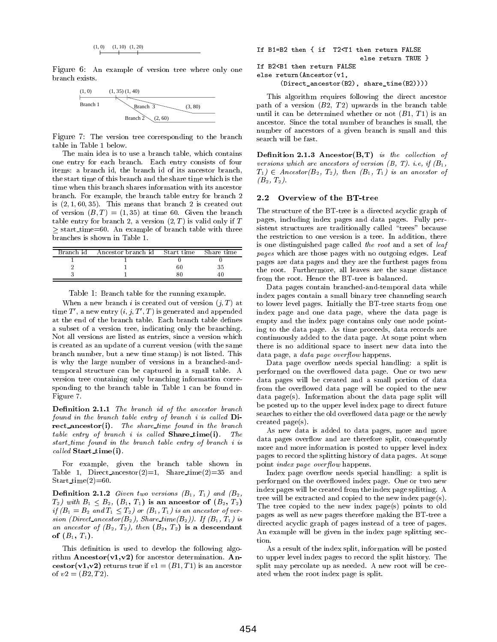$$
(1,0) \qquad (1,10) \quad (1,20)
$$

Figure 6:An example of version tree where only one branch exists.



Figure 7: The version tree corresponding to the branch table in Table 1 below.

The main idea is to use a branch table, which contains one entry for each branch. Each entry consists of four items: a branch id, the branch id of its ancestor branch, the start time of this branch and the share time which is the time when this branch shares information with its ancestor branch. For example, the branch table entry for branch 2 is  $(2, 1, 60, 35)$ . This means that branch 2 is created out of version  $(B, T) = (1, 35)$  at time 60. Given the branch table entry for branch 2, a version  $(2, T)$  is valid only if T  $\geq$  start time=60. An example of branch table with three branches is shown in Table 1.

| Branch id | Ancestor branch id | Start time | Share time |
|-----------|--------------------|------------|------------|
|           |                    |            |            |
|           |                    | 60         |            |
|           |                    |            |            |

Table 1: Branch table for the running example.

When a new branch i is created out of version  $(j, T)$  at time  $T'$ , a new entry  $(i, j, T', T)$  is generated and appended at the end of the branch table. Each branch table defines a subset of a version tree, indicating only the branching. Not all versions are listed as entries, since a version which is created as an update of a current version (with the same branch number, but a new time stamp) is not listed. This is why the large number of versions in a branched-andtemporal structure can be captured in a small table. A version tree containing only branching information corresponding to the branch table in Table 1 can be found in Figure 7.

Definition 2.1.1 The branch id of the ancestor branch found in the branch table entry of branch i is called  $\mathbf{Di}$ rect\_ancestor(i). The share\_time found in the branch table entry of branch i is called  $\mathbf{Share\_time(i)}$ .  $The$ start time found in the branch table entry of branch i is  $called$  Start\_time(i).

For example, given the branch table shown in Table 1, Direct ancestor(2)=1, Share\_time(2)=35 and Start\_time $(2)=60$ .

**Definition 2.1.2** Given two versions  $(B_1, T_1)$  and  $(B_2, T_2)$  $T_2$ ) with  $B_1 \leq B_2$ ,  $(B_1, T_1)$  is an ancestor of  $(B_2, T_2)$ if  $(B_1 = B_2$  and  $T_1 \leq T_2$ ) or  $(B_1, T_1)$  is an ancestor of version (Direct\_ancestor( $B_2$ ), Share\_time( $B_2$ )). If  $(B_1, T_1)$  is an ancestor of  $(B_2, T_2)$ , then  $(B_2, T_2)$  is a descendant of  $(B_1, T_1)$ .

This definition is used to develop the following algorithm  $Ancestor (v1, v2)$  for ancestor determination. Ancestor(v1,v2) returns true if  $v1=(B1,T1)$  is an ancestor of  $v2=(B2, T2)$ .

```
If B1=B2 then { if T2<T1 then return FALSE
                           else return TRUE }
If B2<B1 then return FALSE
else return(Ancestor(v1,
      (Direct_ancestor(B2), share_time(B2))))
```
This algorithm requires following the direct ancestor path of a version  $(B2, T2)$  upwards in the branch table until it can be determined whether or not  $(B1, T1)$  is an ancestor. Since the total number of branches is small, the ancestor. Since the total number of branches is small, the number of ancestors of a given branch is small and this search will be fast.

Definition 2.1.3 Ancestor $(B,T)$  is the collection of versions which are ancestors of version  $(B, T)$ . i.e, if  $(B_1,$  $T_1$ )  $\in$  Ancestor( $B_2$ ,  $T_2$ ), then  $(B_1, T_1)$  is an ancestor of  $(B_2, T_2)$ .

#### Overview of the BT-tree

The structure of the BT-tree is a directed acyclic graph of pages, including index pages and data pages. Fully persistent structures are traditionally called "trees" because the restriction to one version is a tree. In addition, there is one distinguished page called the root and a set of leaf pages which are those pages with no outgoing edges. Leaf pages are data pages and they are the furthest pages from the root. Furthermore, all leaves are the same distance from the root. Hence the BT-tree is balanced.

Data pages contain branched-and-temporal data while index pages contain a small binary tree channeling search to lower level pages. Initially the BT-tree starts from one index page and one data page, where the data page is empty and the index page contains only one node pointing to the data page. As time proceeds, data records are continuously added to the data page. At some point when there is no additional space to insert new data into the data page, a *data page overflow* happens.

Data page overflow needs special handling: a split is performed on the overflowed data page. One or two new data pages will be created and a small portion of data from the overflowed data page will be copied to the new data page(s). Information about the data page split will be posted up to the upper level index page to direct future searches to either the old overflowed data page or the newly created page(s).

As new data is added to data pages, more and more data pages overflow and are therefore split, consequently more and more information is posted to upper level index pages to record the splitting history of data pages. At some point *index page overflow* happens.

Index page overflow needs special handling: a split is performed on the overflowed index page. One or two new index pages will be created from the index page splitting. A tree will be extracted and copied to the new index page(s). The tree copied to the new index page(s) points to old pages as well as new pages therefore making the BT-tree a directed acyclic graph of pages instead of a tree of pages. An example will be given in the index page splitting section.

As a result of the index split, information will be posted to upper level index pages to record the split history. The split may percolate up as needed. A new root will be created when the root index page is split.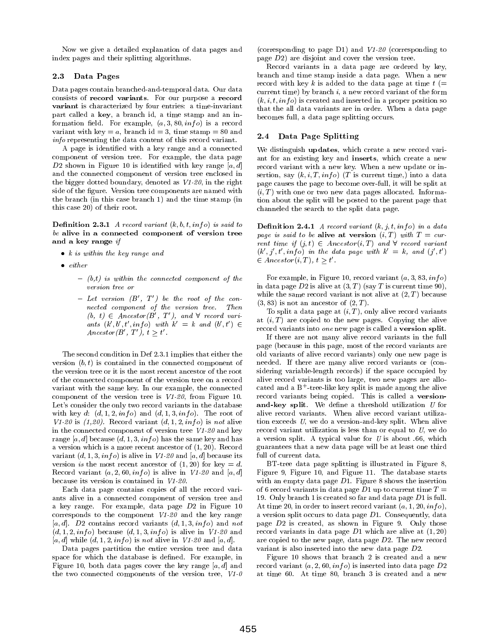Now we give a detailed explanation of data pages and index pages and their splitting algorithms.

### 2.3 Data Pages

Data pages contain branched-and-temporal data. Our data consists of record variants. For our purpose a record variant is characterized by four entries: a time-invariant part called a key, a branch id, a time stamp and an information field. For example,  $(a, 3, 80, info)$  is a record variant with key = a, branch id = 3, time stamp = 80 and<br>information the data center of this peaced variant info representing the data content of this record variant.

A page is identied with a key range and a connected component of version tree. For example, the data page D2 shown in Figure 10 is identified with key range  $[a, d]$ and the connected component of version tree enclosed in the bigger dotted boundary, denoted as V1-20, in the right side of the figure. Version tree components are named with the branch (in this case branch 1) and the time stamp (in this case 20) of their root.

**Definition 2.3.1** A record variant  $(k, b, t, info)$  is said to be alive in a connected component of version tree and a key range if

- $\bullet$   $\kappa$  is within the key range and
- $\bullet$  either
	- $(b,t)$  is within the connected component of the version tree or
	- ${\cal L}$  = Let version  $(B',T')$  be the root of the connected component of the version tree. Then  $(b, t) \in Ancestor(B', T')$ , and  $\forall$  record variants  $(k', b', t', info)$  with  $k' = k$  and  $(b', t') \in$  $Ancestor(B', T'), t \geq t'.$

The second condition in Def 2.3.1 implies that either the version  $(b, t)$  is contained in the connected component of the version tree or it is the most recent ancestor of the root of the connected component of the version tree on a record variant with the same key. In our example, the connected component of the version tree is V1-20, from Figure 10. Let's consider the only two record variants in the database with key d:  $(d, 1, 2, info)$  and  $(d, 1, 3, info)$ . The root of  $V1-20$  is  $(1,20)$ . Record variant  $(d, 1, 2, info)$  is not alive in the connected component of version tree V1-20 and key range [a, d] because  $(d, 1, 3, info)$  has the same key and has a version which is a more recent ancestor of (1; 20). Record variant  $(d, 1, 3, inf)$  is alive in V1-20 and  $[a, d]$  because its version is the most recent ancestor of  $(1, 20)$  for key = d. Record variant  $(a, 2, 60, info)$  is alive in  $V1-20$  and  $[a, d]$ because its version is contained in V1-20.

Each data page contains copies of all the record vari ants alive in a connected component of version tree and a key range. For example, data page D2 in Figure 10 corresponds to the component V1-20 and the key range  $[a, d]$ . D2 contains record variants  $(d, 1, 3, info)$  and not  $(d, 1, 2, info)$  because  $(d, 1, 3, info)$  is alive in V1-20 and [a, d] while  $(d, 1, 2, info)$  is not alive in V1-20 and [a, d].

Data pages partition the entire version tree and data space for which the database is dened. For example, in Figure 10, both data pages cover the key range  $[a, d]$  and the two connected components of the version tree,  $V1-0$  (corresponding to page D1) and V1-20 (corresponding to page D2) are disjoint and cover the version tree.

Record variants in a data page are ordered by key, branch and time stamp inside a data page. When a new record with key k is added to the data page at time  $t (=$ current time) by branch i, a new record variant of the form  $(k, i, t, info)$  is created and inserted in a proper position so that the all data variants are in order. When a data page becomes full, a data page splitting occurs.

# Data Page Splitting

We distinguish updates, which create a new record vari ant for an existing key and inserts, which create a new record variant with a new key. When a new update or insertion, say  $(k, i, T, inf<sub>o</sub>)$  (T is current time,) into a data page causes the page to become over-full, it will be split at  $(i, T)$  with one or two new data pages allocated. Information about the split will be posted to the parent page that channeled the search to the split data page.

**Definition 2.4.1** A record variant  $(k, j, t, info)$  in a data page is said to be alive at version  $(i, T)$  with  $T = cur$ rent time if  $(j, t) \in Ancestor(i, T)$  and  $\forall$  record variant  $(\kappa, \eta, t, \iota n \eta o)$  in the data page with  $\kappa = \kappa, \text{ and } (\eta, t)$  $\in Ancestor(i, T), t \geq t'$ .

For example, in Figure 10, record variant  $(a, 3, 83, info)$ in data page D2 is alive at  $(3, T)$  (say T is current time 90), while the same record variant is not alive at  $(2, T)$  because  $(3, 83)$  is not an ancestor of  $(2, T)$ .

To split a data page at  $(i, T)$ , only alive record variants at  $(i, T)$  are copied to the new pages. Copying the alive record variants into one new page is called a version split.

If there are not many alive record variants in the full page (because in this page, most of the record variants are old variants of alive record variants) only one new page is needed. If there are many alive record variants or (considering variable-length records) if the space occupied by alive record variants is too large, two new pages are allocated and a B+ -tree-like key split is made among the alive record variants being copied. This is called a versionand-key split. We define a threshold utilization  $U$  for alive record variants. When alive record variant utilization exceeds U, we do a version-and-key split. When alive record variant utilization is less than or equal to U, we do a version split. A typical value for  $U$  is about .66, which guarantees that a new data page will be at least one third full of current data.

BT-tree data page splitting is illustrated in Figure 8, Figure 9, Figure 10, and Figure 11. The database starts with an empty data page D1. Figure 8 shows the insertion of 6 record variants in data page D1 up to current time  $T =$ 19. Only branch 1 is created so far and data page D1 is full. At time 20, in order to insert record variant  $(a, 1, 20, info)$ , a version split occurs to data page D1. Consequently, data page  $D2$  is created, as shown in Figure 9. Only those record variants in data page  $D1$  which are alive at  $(1, 20)$ are copied to the new page, data page D2. The new record variant is also inserted into the new data page D2.

Figure 10 shows that branch 2 is created and a new record variant  $(a, 2, 60, inf)$  is inserted into data page  $D2$ at time 60. At time 80, branch 3 is created and a new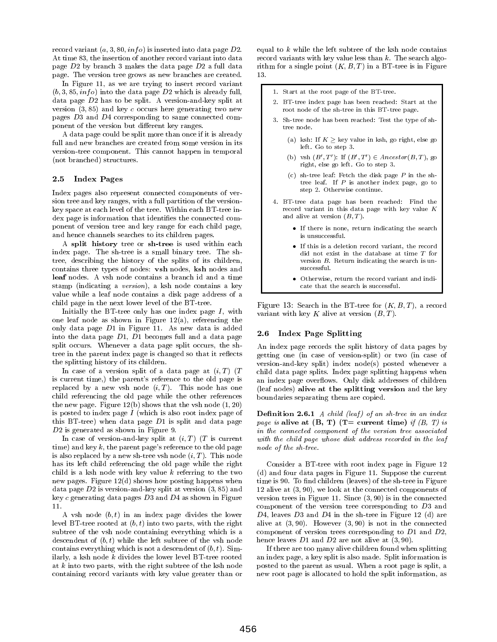record variant  $(a, 3, 80, info)$  is inserted into data page  $D2$ . At time 83, the insertion of another record variant into data page D2 by branch 3 makes the data page D2 a full data page. The version tree grows as new branches are created.

In Figure 11, as we are trying to insert record variant  $(b, 3, 85, inf)$  into the data page  $D2$  which is already full, data page D2 has to be split. A version-and-key split at version  $(3, 85)$  and key c occurs here generating two new pages D3 and D4 corresponding to same connected component of the version but different key ranges.

A data page could be split more than once if it is already full and new branches are created from some version in its version-tree component. This cannot happen in temporal (not branched) structures.

### 2.5 Index Pages

Index pages also represent connected components of ver sion tree and key ranges, with a full partition of the versionkey space at each level of the tree. Within each BT-tree index page is information that identifies the connected component of version tree and key range for each child page, and hence channels searches to its children pages.

A split history tree or sh-tree is used within each index page. The sh-tree is a small binary tree. The shtree, describing the history of the splits of its children, contains three types of nodes: vsh nodes, ksh nodes and leaf nodes. A vsh node contains a branch id and a time stamp (indicating a version), a ksh node contains a key value while a leaf node contains a disk page address of a child page in the next lower level of the BT-tree.

Initially the BT-tree only has one index page  $I$ , with one leaf node as shown in Figure 12(a), referencing the only data page  $D1$  in Figure 11. As new data is added<br>into the data page  $D1$ ,  $D1$  becomes full and a data page. 2.6 into the data page D1, D1 becomes full and a data page split occurs. Whenever a data page split occurs, the shtree in the parent index page is changed so that it reflects the splitting history of its children.

In case of a version split of a data page at  $(i, T)$  (T is current time,) the parent's reference to the old page is replaced by a new vsh node  $(i, T)$ . This node has one child referencing the old page while the other references the new page. Figure  $12(b)$  shows that the vsh node  $(1, 20)$ is posted to index page  $I$  (which is also root index page of this BT-tree) when data page D1 is split and data page D<sub>2</sub> is generated as shown in Figure 9.

In case of version-and-key split at  $(i, T)$  (T is current time) and key  $k$ , the parent page's reference to the old page is also replaced by a new sh-tree vsh node  $(i, T)$ . This node has its left child referencing the old page while the right child is a ksh node with key value  $k$  referring to the two new pages. Figure  $12(d)$  shows how posting happens when data page  $D2$  is version-and-key split at version  $(3, 85)$  and key  $c$  generating data pages  $D3$  and  $D4$  as shown in Figure  $11.$ 

A vsh node  $(b, t)$  in an index page divides the lower level BT-tree rooted at  $(b, t)$  into two parts, with the right subtree of the vsh node containing everything which is a descendent of  $(b, t)$  while the left subtree of the vsh node contains everything which is not a descendent of  $(b, t)$ . Similarly, a ksh node k divides the lower level BT-tree rooted at  $k$  into two parts, with the right subtree of the ksh node containing record variants with key value greater than or equal to  $k$  while the left subtree of the ksh node contains record variants with key value less than  $k$ . The search algorithm for a single point  $(K, B, T)$  in a BT-tree is in Figure 13.

1. Start at the root page of the BT-tree.

- 2. BT-tree index page has been reached: Start at the root node of the sh-tree in this BT-tree page.
- 3. Sh-tree node has been reached: Test the type of shtree node.
	- (a) ksh: If  $K >$  key value in ksh, go right, else go left. Go to step 3.
	- (b) vsh  $(B',T')$ : If  $(B',T') \in Ancestor(B,T)$ , go right, else go left. Go to step 3.
	- (c) sh-tree leaf: Fetch the disk page  $P$  in the shtree leaf. If P is another index page, go to step 2. Otherwise continue.
- 4. BT-tree data page has been reached: Find the record variant in this data page with key value  $K$ and alive at version  $(B, T)$ .
	- If there is none, return indicating the search is unsuccessful.
	- If this is a deletion record variant, the record did not exist in the database at time T for version  $B$ . Return indicating the search is unsuccessful.
	- $\bullet$  Otherwise, return the record variant and indicate that the search is successful.

Figure 13: Search in the BT-tree for  $(K, B, I)$ , a record variant with key K alive at version  $(B, T)$ .

# Index Page Splitting

An index page records the split history of data pages by getting one (in case of version-split) or two (in case of version-and-key split) index node(s) posted whenever a child data page splits. Index page splitting happens when an index page overflows. Only disk addresses of children (leaf nodes) alive at the splitting version and the key boundaries separating them are copied.

**Definition 2.6.1** A child (leaf) of an sh-tree in an index page is alive at  $(B, T)$  (T= current time) if  $(B, T)$  is in the connected component of the version tree associated with the child page whose disk address recorded in the leaf node of the sh-tree.

Consider a BT-tree with root index page in Figure 12 (d) and four data pages in Figure 11. Suppose the current time is 90. To find children (leaves) of the sh-tree in Figure 12 alive at (3; 90), we look at the connected components of version trees in Figure 11. Since  $(3, 90)$  is in the connected component of the version tree corresponding to D3 and  $D4$ , leaves  $D3$  and  $D4$  in the sh-tree in Figure 12 (d) are alive at (3; 90). However (3; 90) is not in the connected component of version trees corresponding to D1 and D2, hence leaves  $D1$  and  $D2$  are not alive at  $(3, 90)$ .

If there are too many alive children found when splitting an index page, a key split is also made. Split information is posted to the parent as usual. When a root page is split, a new root page is allocated to hold the split information, as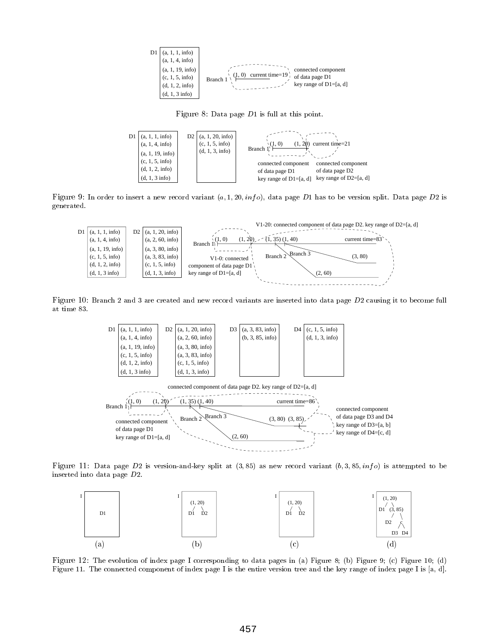

Figure 8: Data page D1 is full at this point.



Figure 9: In order to insert a new record variant (a; 1; 20; inf o), data page D1 has to be version split. Data page D2 is generated.



Figure 10: Branch 2 and 3 are created and new record variants are inserted into data page D2 causing it to become full at time 83.



Figure 11: Data page D2 is version-and-key split at (3; 85) as new record variant (b; 3; 85; inf o) is attempted to be inserted into data page D2.



Figure 12: The evolution of index page I corresponding to data pages in (a) Figure 8; (b) Figure 9; (c) Figure 10; (d) Figure 11. The connected component of index page I is the entire version tree and the key range of index page I is [a, d].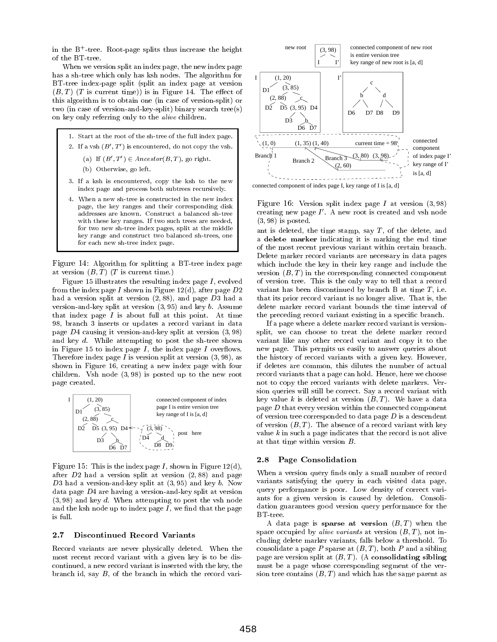in the B+ -tree. Root-page splits thus increase the height of the BT-tree.

When we version split an index page, the new index page has a sh-tree which only has ksh nodes. The algorithm for BT-tree index-page split (split an index page at version  $(B, T)$  (T is current time)) is in Figure 14. The effect of this algorithm is to obtain one (in case of version-split) or two (in case of version-and-key-split) binary search tree(s) on key only referring only to the alive children.

- 1. Start at the root of the sh-tree of the full index page. 2. If a vsh  $(B', T')$  is encountered, do not copy the vsh.
	- (a) If  $(B',T') \in Ancestor(B,T)$ , go right.
	- (b) Otherwise, go left.
- 3. If a ksh is encountered, copy the ksh to the new index page and process both subtrees recursively.
- 4. When a new sh-tree is constructed in the new index page, the key ranges and their corresponding disk addresses are known. Construct a balanced sh-tree with these key ranges. If two such trees are needed. with these  $\alpha$  ranges. If two such trees are needed,  $\alpha$ for two new sh-tree index pages, split at the middle key range and construct two balanced sh-trees, one for each new sh-tree index page.

Figure 14: Algorithm for splitting a BT-tree index page at version  $(B, T)$  (T is current time.)

Figure 15 illustrates the resulting index page  $I$ , evolved from the index page I shown in Figure  $12(d)$ , after page  $D2$ had a version split at version  $(2, 88)$ , and page D3 had a version-and-key split at version  $(3, 95)$  and key b. Assume that index page  $I$  is about full at this point. At time 98, branch 3 inserts or updates a record variant in data page  $D4$  causing it version-and-key split at version  $(3, 98)$ and key d. While attempting to post the sh-tree shown in Figure 15 to index page  $I$ , the index page  $I$  overflows. Therefore index page  $I$  is version split at version  $(3, 98)$ , as shown in Figure 16, creating a new index page with four children. Vsh node (3; 98) is posted up to the new root page created.



 $\Gamma$  igure 15. This is the index page  $I$  , shown in Figure 12(d), after  $D2$  had a version split at version  $(2, 88)$  and page D3 had a version-and-key split at  $(3, 95)$  and key b. Now data page D4 are having a version-and-key split at version  $(3, 98)$  and key d. When attempting to post the vsh node and the ksh node up to index page  $I$ , we find that the page is full.

### 2.7 Discontinued Record Variants

Record variants are never physically deleted. When the most recent record variant with a given key is to be dis continued, a new record variant is inserted with the key, the branch id, say B, of the branch in which the record vari-



connected component of index page I, key range of I is [a, d]

Figure 16: Version split index page I at version (3; 98) creating new page  $I$  . A new root is created and vsn node  $(3, 98)$  is posted.

ant is deleted, the time stamp, say  $T$ , of the delete, and a delete marker indicating it is marking the end time of the most recent previous variant within certain branch. Delete marker record variants are necessary in data pages which include the key in their key range and include the version  $(B, T)$  in the corresponding connected component of version tree. This is the only way to tell that a record variant has been discontinued by branch B at time  $T$ , i.e. that its prior record variant is no longer alive. That is, the delete marker record variant bounds the time interval of the preceding record variant existing in a specic branch.

If a page where a delete marker record variant is versionsplit, we can choose to treat the delete marker record variant like any other record variant and copy it to the new page. This permits us easily to answer queries about the history of record variants with a given key. However, if deletes are common, this dilutes the number of actual record variants that a page can hold. Hence, here we choose not to copy the record variants with delete markers. Ver sion queries will still be correct. Say a record variant with key value k is deleted at version  $(B, T)$ . We have a data page D that every version within the connected component of version tree corresponded to data page  $D$  is a descendent of version  $(B, T)$ . The absence of a record variant with key value k in such a page indicates that the record is not alive at that time within version B.

## 2.8 Page Consolidation

When a version query finds only a small number of record variants satisfying the query in each visited data page, query performance is poor. Low density of correct vari ants for a given version is caused by deletion. Consolidation guarantees good version query performance for the BT-tree.

A data page is sparse at version  $(B, T)$  when the space occupied by *alive variants* at version  $(B, T)$ , not including delete marker variants, falls below a threshold. To consolidate a page  $P$  sparse at  $(B, T)$ , both  $P$  and a sibling page are version split at  $(B, T)$ . (A consolidating sibling must be a page whose corresponding segment of the ver sion tree contains  $(B, T)$  and which has the same parent as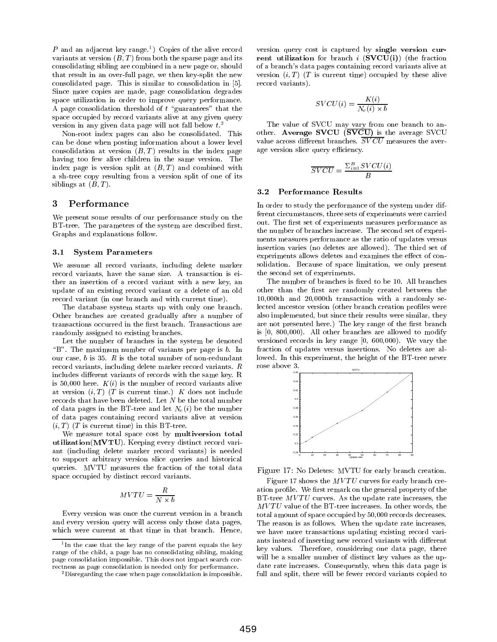$P$  and an adjacent key range. To Copies of the alive record  $\qquad$  versi variants at version  $(B, T)$  from both the sparse page and its consolidating sibling are combined in a new page or, should that result in an over-full page, we then key-split the new consolidated page. This is similar to consolidation in [5]. Since more copies are made, page consolidation degrades space utilization in order to improve query performance. A page consolidation threshold of  $t$  "guarantees" that the space occupied by record variants alive at any given query version in any given data page will not fall below  $t^2$ .

Non-root index pages can also be consolidated. This can be done when posting information about a lower level consolidation at version  $(B, T)$  results in the index page having too few alive children in the same version. The index page is version split at  $(B, T)$  and combined with a sh-tree copy resulting from a version split of one of its siblings at  $(B, T)$ .

#### 3 **Performance**

We present some results of our performance study on the BT-tree. The parameters of the system are described first. Graphs and explanations follow.

#### 3.1 System Parameters

We assume all record variants, including delete marker record variants, have the same size. A transaction is either an insertion of a record variant with a new key, an update of an existing record variant or a delete of an old record variant (in one branch and with current time).

The database system starts up with only one branch. Other branches are created gradually after a number of transactions occurred in the first branch. Transactions are randomly assigned to existing branches.

Let the number of branches in the system be denoted " $B$ ". The maximum number of variants per page is  $b$ . In our case, b is 35. R is the total number of non-redundant record variants, including delete marker record variants. R includes different variants of records with the same key. R is 50,000 here.  $K(i)$  is the number of record variants alive at version  $(i, T)$  (T is current time.) K does not include records that have been deleted. Let N be the total number of data pages in the BT-tree and let  $N_c(i)$  be the number of data pages containing record variants alive at version  $(i, T)$  (T is current time) in this BT-tree.

We measure total space cost by multiversion total utilization(MVTU). Keeping every distinct record vari ant (including delete marker record variants) is needed to support arbitrary version slice queries and historical queries. MVTU measures the fraction of the total data space occupied by distinct record variants.

$$
MVTU=\frac{R}{N\times b}
$$

Every version was once the current version in a branch and every version query will access only those data pages, which were current at that time in that branch. Hence,

version query cost is captured by single version cur rent utilization for branch  $i$  (SVCU(i)) (the fraction of a branch's data pages containing record variants alive at version  $(i, T)$  (T is current time) occupied by these alive record variants).

$$
SVCU(i) = \frac{K(i)}{N_c(i) \times b}
$$

The value of SVCU may vary from one branch to another. Average SVCU (SVCU) is the average SVCU value across different branches.  $\overline{SVCU}$  measures the average version slice query efficiency.

$$
\overline{SVCU} = \frac{\Sigma_{i=1}^{B} SVCU(i)}{B}
$$

#### 3.2 Performance Results

In order to study the performance of the system under different circumstances, three sets of experiments were carried out. The first set of experiments measures performance as the number of branches increase. The second set of experi ments measures performance as the ratio of updates versus insertion varies (no deletes are allowed). The third set of experiments allows deletes and examines the effect of consolidation. Because of space limitation, we only present the second set of experiments.

The number of branches is fixed to be 10. All branches other than the first are randomly created between the 10,000th and 20,000th transaction with a randomly selected ancestor version (other branch creation profiles were also implemented, but since their results were similar, they are not presented here.) The key range of the first branch is [0, 800,000). All other branches are allowed to modify versioned records in key range [0, 600,000). We vary the fraction of updates versus insertions. No deletes are allowed. In this experiment, the height of the BT-tree never rose above 3.



Figure 17: No Deletes: MVTU for early branch creation.

Figure 17 shows the  $MVTU$  curves for early branch creation profile. We first remark on the general property of the BT-tree  $MVTU$  curves. As the update rate increases, the  $MVTU$  value of the BT-tree increases. In other words, the total amount of space occupied by 50,000 records decreases. The reason is as follows. When the update rate increases, we have more transactions updating existing record vari ants instead of inserting new record variants with different key values. Therefore, considering one data page, there will be a smaller number of distinct key values as the update rate increases. Consequently, when this data page is full and split, there will be fewer record variants copied to

th the case that the key range of the parent equals the key the set range of the child, a page has no consolidating sibling, making page consolidation impossible. This does not impact search correctness as page consolidation is needed only for performance.

<sup>2</sup>Disregarding the case when page consolidation is impossible.